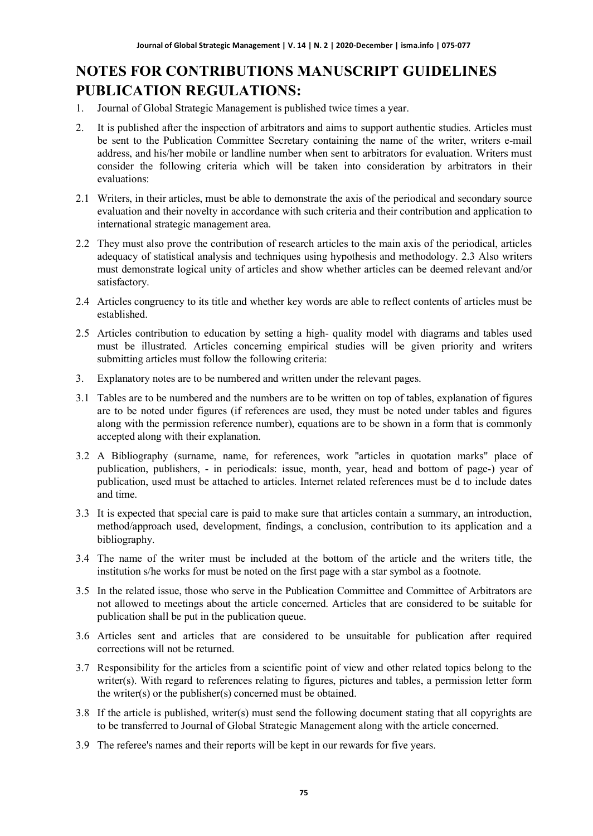# **NOTES FOR CONTRIBUTIONS MANUSCRIPT GUIDELINES PUBLICATION REGULATIONS:**

- 1. Journal of Global Strategic Management is published twice times a year.
- 2. It is published after the inspection of arbitrators and aims to support authentic studies. Articles must be sent to the Publication Committee Secretary containing the name of the writer, writers e-mail address, and his/her mobile or landline number when sent to arbitrators for evaluation. Writers must consider the following criteria which will be taken into consideration by arbitrators in their evaluations:
- 2.1 Writers, in their articles, must be able to demonstrate the axis of the periodical and secondary source evaluation and their novelty in accordance with such criteria and their contribution and application to international strategic management area.
- 2.2 They must also prove the contribution of research articles to the main axis of the periodical, articles adequacy of statistical analysis and techniques using hypothesis and methodology. 2.3 Also writers must demonstrate logical unity of articles and show whether articles can be deemed relevant and/or satisfactory.
- 2.4 Articles congruency to its title and whether key words are able to reflect contents of articles must be established.
- 2.5 Articles contribution to education by setting a high- quality model with diagrams and tables used must be illustrated. Articles concerning empirical studies will be given priority and writers submitting articles must follow the following criteria:
- 3. Explanatory notes are to be numbered and written under the relevant pages.
- 3.1 Tables are to be numbered and the numbers are to be written on top of tables, explanation of figures are to be noted under figures (if references are used, they must be noted under tables and figures along with the permission reference number), equations are to be shown in a form that is commonly accepted along with their explanation.
- 3.2 A Bibliography (surname, name, for references, work "articles in quotation marks" place of publication, publishers, - in periodicals: issue, month, year, head and bottom of page-) year of publication, used must be attached to articles. Internet related references must be d to include dates and time.
- 3.3 It is expected that special care is paid to make sure that articles contain a summary, an introduction, method/approach used, development, findings, a conclusion, contribution to its application and a bibliography.
- 3.4 The name of the writer must be included at the bottom of the article and the writers title, the institution s/he works for must be noted on the first page with a star symbol as a footnote.
- 3.5 In the related issue, those who serve in the Publication Committee and Committee of Arbitrators are not allowed to meetings about the article concerned. Articles that are considered to be suitable for publication shall be put in the publication queue.
- 3.6 Articles sent and articles that are considered to be unsuitable for publication after required corrections will not be returned.
- 3.7 Responsibility for the articles from a scientific point of view and other related topics belong to the writer(s). With regard to references relating to figures, pictures and tables, a permission letter form the writer(s) or the publisher(s) concerned must be obtained.
- 3.8 If the article is published, writer(s) must send the following document stating that all copyrights are to be transferred to Journal of Global Strategic Management along with the article concerned.
- 3.9 The referee's names and their reports will be kept in our rewards for five years.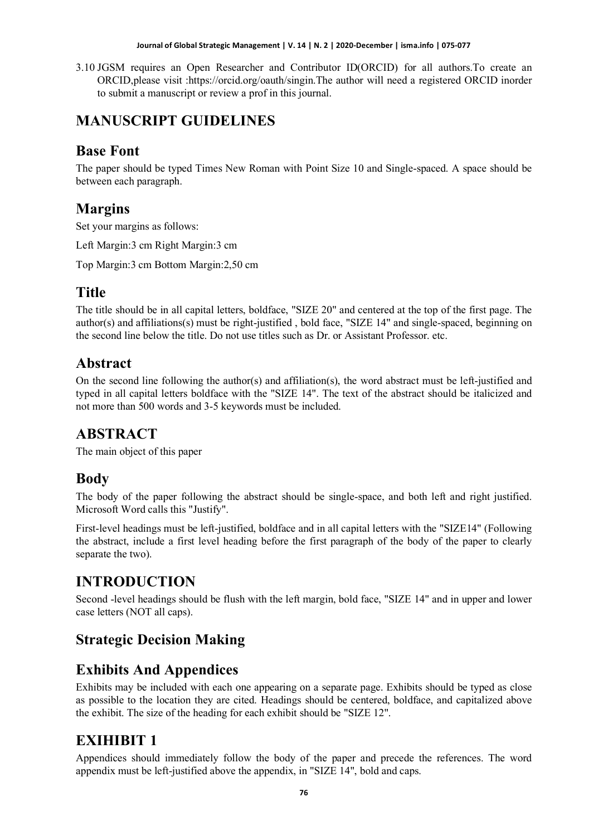#### **Journal of Global Strategic Management | V. 14 | N. 2 | 2020-December | isma.info | 075-077**

3.10 JGSM requires an Open Researcher and Contributor ID(ORCID) for all authors.To create an ORCID,please visit :https://orcid.org/oauth/singin.The author will need a registered ORCID inorder to submit a manuscript or review a prof in this journal.

## **MANUSCRIPT GUIDELINES**

#### **Base Font**

The paper should be typed Times New Roman with Point Size 10 and Single-spaced. A space should be between each paragraph.

#### **Margins**

Set your margins as follows:

Left Margin:3 cm Right Margin:3 cm

Top Margin:3 cm Bottom Margin:2,50 cm

#### **Title**

The title should be in all capital letters, boldface, "SIZE 20" and centered at the top of the first page. The author(s) and affiliations(s) must be right-justified , bold face, "SIZE 14" and single-spaced, beginning on the second line below the title. Do not use titles such as Dr. or Assistant Professor. etc.

#### **Abstract**

On the second line following the author(s) and affiliation(s), the word abstract must be left-justified and typed in all capital letters boldface with the "SIZE 14". The text of the abstract should be italicized and not more than 500 words and 3-5 keywords must be included.

#### **ABSTRACT**

The main object of this paper

#### **Body**

The body of the paper following the abstract should be single-space, and both left and right justified. Microsoft Word calls this "Justify".

First-level headings must be left-justified, boldface and in all capital letters with the "SIZE14" (Following the abstract, include a first level heading before the first paragraph of the body of the paper to clearly separate the two).

# **INTRODUCTION**

Second -level headings should be flush with the left margin, bold face, "SIZE 14" and in upper and lower case letters (NOT all caps).

## **Strategic Decision Making**

## **Exhibits And Appendices**

Exhibits may be included with each one appearing on a separate page. Exhibits should be typed as close as possible to the location they are cited. Headings should be centered, boldface, and capitalized above the exhibit. The size of the heading for each exhibit should be "SIZE 12".

## **EXIHIBIT 1**

Appendices should immediately follow the body of the paper and precede the references. The word appendix must be left-justified above the appendix, in "SIZE 14", bold and caps.